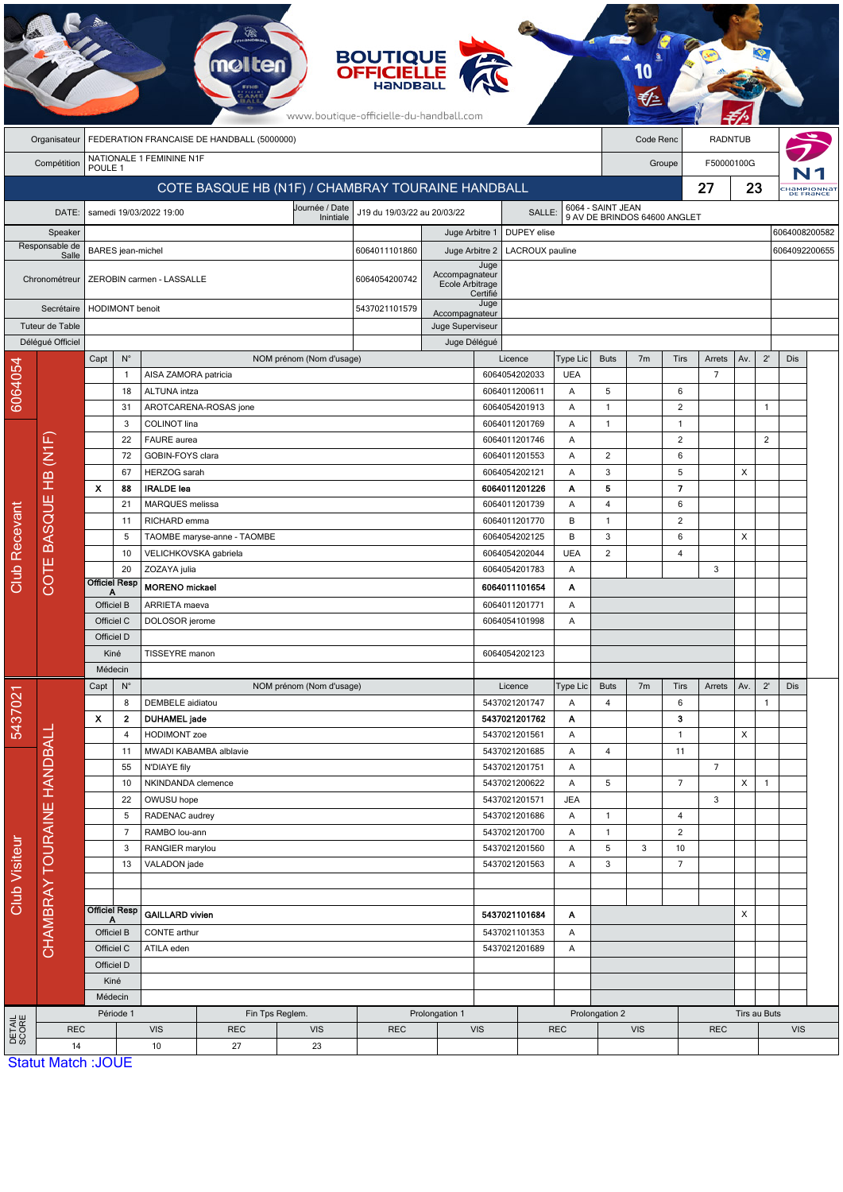| <b>BOUTIQUE</b><br><b>OFFICIELLE</b><br>mo<br>www.boutique-officielle-du-handball.com |                                                   |                           |                                      |                                      |                                     |                             |                                                   |                                    |                                                 |                                |                      |                              |                   |                     |                |               |               |     |  |
|---------------------------------------------------------------------------------------|---------------------------------------------------|---------------------------|--------------------------------------|--------------------------------------|-------------------------------------|-----------------------------|---------------------------------------------------|------------------------------------|-------------------------------------------------|--------------------------------|----------------------|------------------------------|-------------------|---------------------|----------------|---------------|---------------|-----|--|
| FEDERATION FRANCAISE DE HANDBALL (5000000)<br>Organisateur                            |                                                   |                           |                                      |                                      |                                     |                             |                                                   |                                    | Code Renc<br><b>RADNTUB</b>                     |                                |                      |                              |                   |                     |                |               |               |     |  |
|                                                                                       | Compétition                                       | POULE <sub>1</sub>        |                                      | NATIONALE 1 FEMININE N1F             |                                     |                             |                                                   |                                    |                                                 |                                | F50000100G<br>Groupe |                              |                   |                     |                |               |               |     |  |
|                                                                                       |                                                   |                           |                                      |                                      |                                     |                             | COTE BASQUE HB (N1F) / CHAMBRAY TOURAINE HANDBALL |                                    |                                                 |                                |                      |                              | 27                | 23                  |                |               | HaMPIONNAT    |     |  |
|                                                                                       | DATE:                                             |                           |                                      |                                      |                                     | J19 du 19/03/22 au 20/03/22 |                                                   | SALLE:                             |                                                 |                                | 6064 - SAINT JEAN    |                              |                   |                     |                |               |               |     |  |
| Speaker                                                                               |                                                   |                           | samedi 19/03/2022 19:00<br>Inintiale |                                      |                                     |                             |                                                   | Juge Arbitre 1                     |                                                 | DUPEY elise                    |                      | 9 AV DE BRINDOS 64600 ANGLET |                   |                     |                |               | 6064008200582 |     |  |
| Responsable de                                                                        |                                                   |                           | BARES jean-michel                    |                                      |                                     |                             |                                                   | Juge Arbitre 2                     |                                                 | LACROUX pauline                |                      |                              |                   |                     |                | 6064092200655 |               |     |  |
| Salle<br>Chronométreur                                                                |                                                   |                           |                                      | ZEROBIN carmen - LASSALLE            |                                     |                             | 6064054200742                                     | Accompagnateur<br>Ecole Arbitrage  | Juge                                            |                                |                      |                              |                   |                     |                |               |               |     |  |
| Secrétaire                                                                            |                                                   |                           | <b>HODIMONT</b> benoit               |                                      |                                     |                             |                                                   |                                    | Certifié<br>Juge                                |                                |                      |                              |                   |                     |                |               |               |     |  |
| Tuteur de Table                                                                       |                                                   |                           |                                      |                                      |                                     |                             |                                                   | Accompagnateur<br>Juge Superviseur |                                                 |                                |                      |                              |                   |                     |                |               |               |     |  |
|                                                                                       | Déléqué Officiel                                  |                           |                                      |                                      |                                     |                             |                                                   | Juge Délégué                       |                                                 |                                |                      |                              |                   |                     |                |               |               |     |  |
|                                                                                       |                                                   | Capt                      | $N^{\circ}$                          |                                      |                                     | NOM prénom (Nom d'usage)    |                                                   |                                    |                                                 | Licence                        | Type Lic             | <b>Buts</b>                  | 7 <sub>m</sub>    | Tirs                | Arrets         | Av.           | $2^{\prime}$  | Dis |  |
| 6064054                                                                               |                                                   |                           | $\mathbf{1}$<br>18                   | AISA ZAMORA patricia<br>ALTUNA intza |                                     |                             |                                                   |                                    |                                                 | 6064054202033<br>6064011200611 | <b>UEA</b><br>Α      | 5                            |                   | 6                   | $\overline{7}$ |               |               |     |  |
|                                                                                       |                                                   |                           | 31                                   |                                      | AROTCARENA-ROSAS jone               |                             |                                                   |                                    |                                                 | 6064054201913                  | Α                    | $\mathbf{1}$                 |                   | 2                   |                |               | $\mathbf{1}$  |     |  |
|                                                                                       |                                                   |                           | 3                                    | COLINOT lina                         |                                     |                             |                                                   |                                    |                                                 | 6064011201769                  | Α                    | $\mathbf{1}$                 |                   | $\mathbf{1}$        |                |               |               |     |  |
|                                                                                       |                                                   |                           | 22                                   | FAURE aurea                          |                                     |                             |                                                   |                                    | 6064011201746                                   |                                | Α                    |                              |                   | $\overline{2}$      |                |               | 2             |     |  |
|                                                                                       | (M1F)                                             | 72                        |                                      | GOBIN-FOYS clara                     |                                     |                             |                                                   |                                    |                                                 | 6064011201553                  | Α                    | 2                            |                   | 6                   |                |               |               |     |  |
|                                                                                       | $\frac{1}{2}$<br>Ш<br><b>BASQU</b><br><b>COTE</b> | X                         | 67<br>88                             | HERZOG sarah<br><b>IRALDE</b> lea    |                                     |                             |                                                   |                                    |                                                 | 6064054202121                  | Α                    | 3<br>5                       |                   | 5<br>$\overline{7}$ |                | X             |               |     |  |
|                                                                                       |                                                   | 21<br>11                  |                                      | MARQUES melissa<br>RICHARD emma      |                                     |                             |                                                   |                                    | 6064011201226<br>6064011201739<br>6064011201770 |                                | Α<br>Α               | 4                            |                   | 6                   |                |               |               |     |  |
| Club Recevant                                                                         |                                                   |                           |                                      |                                      |                                     |                             |                                                   |                                    |                                                 |                                | B                    | $\mathbf{1}$                 |                   | 2                   |                |               |               |     |  |
|                                                                                       |                                                   |                           | 5                                    |                                      | TAOMBE maryse-anne - TAOMBE         |                             |                                                   |                                    |                                                 | 6064054202125                  | B                    | 3                            |                   | 6                   |                | X             |               |     |  |
|                                                                                       |                                                   |                           | 10                                   |                                      | VELICHKOVSKA gabriela               |                             |                                                   |                                    |                                                 | 6064054202044                  | <b>UEA</b>           | $\overline{2}$               |                   | $\overline{4}$      |                |               |               |     |  |
|                                                                                       |                                                   |                           | 20                                   | ZOZAYA julia                         |                                     |                             |                                                   | 6064054201783                      |                                                 | Α                              |                      |                              |                   | 3                   |                |               |               |     |  |
|                                                                                       |                                                   | <b>Officiel Resp</b>      |                                      | <b>MORENO</b> mickael                |                                     |                             |                                                   | 6064011101654<br>Α                 |                                                 |                                |                      |                              |                   |                     |                |               |               |     |  |
|                                                                                       |                                                   | Officiel B<br>Officiel C  |                                      | ARRIETA maeva<br>DOLOSOR jerome      |                                     |                             | 6064011201771<br>Α<br>6064054101998<br>Α          |                                    |                                                 |                                |                      |                              |                   |                     |                |               |               |     |  |
|                                                                                       |                                                   | Officiel D                |                                      |                                      |                                     |                             |                                                   |                                    |                                                 |                                |                      |                              |                   |                     |                |               |               |     |  |
|                                                                                       |                                                   | Kiné                      |                                      | TISSEYRE manon                       |                                     |                             |                                                   | 6064054202123                      |                                                 |                                |                      |                              |                   |                     |                |               |               |     |  |
|                                                                                       |                                                   | Médecin                   |                                      |                                      |                                     |                             |                                                   |                                    |                                                 |                                |                      |                              |                   |                     |                |               |               |     |  |
|                                                                                       |                                                   | Capt                      | $N^{\circ}$                          |                                      |                                     | NOM prénom (Nom d'usage)    |                                                   |                                    |                                                 | Licence                        | Type Lic             | <b>Buts</b>                  | 7m                | Tirs                | Arrets         | Av.           | $2^{\prime}$  | Dis |  |
| 5437021                                                                               |                                                   |                           | 8                                    | DEMBELE aidiatou                     |                                     |                             |                                                   |                                    | 5437021201747                                   |                                | Α                    | 4                            |                   | 6                   |                |               | $\mathbf{1}$  |     |  |
|                                                                                       |                                                   | X                         | $\mathbf{2}$<br>4                    |                                      | <b>DUHAMEL</b> jade<br>HODIMONT zoe |                             |                                                   | 5437021201762<br>5437021201561     |                                                 | Α<br>Α                         |                      |                              | з<br>$\mathbf{1}$ |                     | X              |               |               |     |  |
|                                                                                       |                                                   |                           | 11                                   |                                      | MWADI KABAMBA alblavie              |                             |                                                   |                                    | 5437021201685                                   |                                | Α                    | 4                            |                   | 11                  |                |               |               |     |  |
|                                                                                       |                                                   | 55                        |                                      | N'DIAYE fily                         |                                     |                             |                                                   |                                    |                                                 | 5437021201751                  | Α                    |                              |                   |                     | $\overline{7}$ |               |               |     |  |
|                                                                                       | CHAMBRAY TOURAINE HANDBALI                        |                           | 10<br>NKINDANDA clemence             |                                      |                                     |                             | 5437021200622                                     | Α                                  | 5                                               |                                | $\overline{7}$       |                              | X                 | $\mathbf{1}$        |                |               |               |     |  |
|                                                                                       |                                                   |                           | 22                                   | OWUSU hope                           |                                     |                             |                                                   |                                    |                                                 | 5437021201571                  | <b>JEA</b>           |                              |                   |                     | 3              |               |               |     |  |
| Club Visiteur                                                                         |                                                   |                           | 5<br>7                               | RADENAC audrey<br>RAMBO lou-ann      |                                     |                             |                                                   |                                    | 5437021201686                                   |                                | Α                    | $\mathbf{1}$                 |                   | 4<br>$\overline{c}$ |                |               |               |     |  |
|                                                                                       |                                                   |                           | 3                                    | RANGIER marylou                      |                                     |                             |                                                   |                                    | 5437021201700<br>5437021201560                  |                                | Α<br>Α               | $\mathbf{1}$<br>$\sqrt{5}$   | 3                 | 10                  |                |               |               |     |  |
|                                                                                       |                                                   |                           | 13                                   | VALADON jade                         |                                     |                             | 5437021201563                                     |                                    | Α                                               | 3                              |                      | $\overline{7}$               |                   |                     |                |               |               |     |  |
|                                                                                       |                                                   |                           |                                      |                                      |                                     |                             |                                                   |                                    |                                                 |                                |                      |                              |                   |                     |                |               |               |     |  |
|                                                                                       |                                                   |                           |                                      |                                      |                                     |                             |                                                   |                                    |                                                 |                                |                      |                              |                   |                     |                |               |               |     |  |
|                                                                                       |                                                   | <b>Officiel Resp</b>      |                                      | <b>GAILLARD vivien</b>               |                                     |                             | 5437021101684                                     |                                    | Α                                               |                                | X                    |                              |                   |                     |                |               |               |     |  |
|                                                                                       |                                                   | Officiel B<br>Officiel C  |                                      | CONTE arthur<br>ATILA eden           |                                     |                             | 5437021101353<br>Α<br>5437021201689<br>Α          |                                    |                                                 |                                |                      |                              |                   |                     |                |               |               |     |  |
|                                                                                       |                                                   | Officiel D                |                                      |                                      |                                     |                             |                                                   |                                    |                                                 |                                |                      |                              |                   |                     |                |               |               |     |  |
|                                                                                       |                                                   | Kiné                      |                                      |                                      |                                     |                             |                                                   |                                    |                                                 |                                |                      |                              |                   |                     |                |               |               |     |  |
|                                                                                       |                                                   | Médecin                   |                                      |                                      |                                     |                             |                                                   |                                    |                                                 |                                |                      |                              |                   |                     |                |               |               |     |  |
|                                                                                       |                                                   |                           | Période 1<br>Fin Tps Reglem.         |                                      |                                     |                             | Prolongation 1                                    |                                    |                                                 |                                | Prolongation 2       |                              |                   |                     |                | Tirs au Buts  |               |     |  |
| DETAIL<br>SCORE                                                                       | <b>REC</b><br>14                                  |                           |                                      | <b>VIS</b><br>10                     | <b>REC</b><br>27                    | <b>VIS</b><br>23            | <b>REC</b>                                        | <b>VIS</b>                         |                                                 | <b>REC</b>                     |                      | <b>VIS</b>                   |                   | <b>REC</b>          |                |               | <b>VIS</b>    |     |  |
|                                                                                       |                                                   | <b>Statut Match: JOUE</b> |                                      |                                      |                                     |                             |                                                   |                                    |                                                 |                                |                      |                              |                   |                     |                |               |               |     |  |